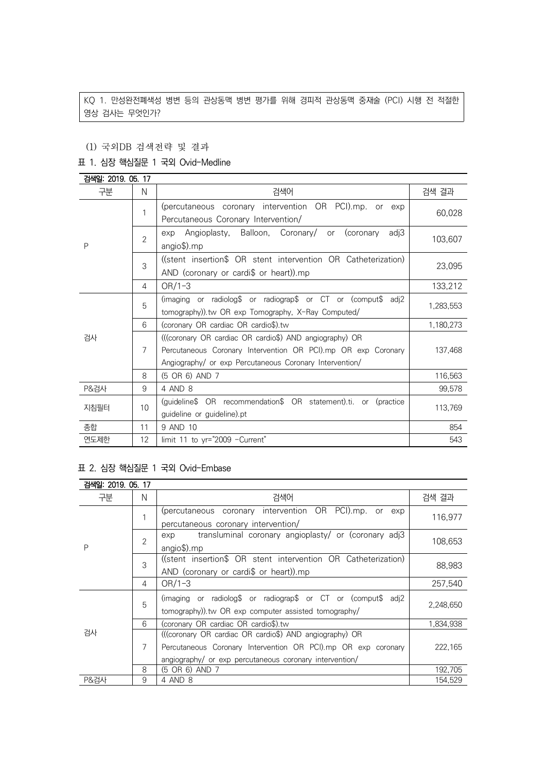KQ 1. 만성완전폐색성 병변 등의 관상동맥 병변 평가를 위해 경피적 관상동맥 중재술 (PCI) 시행 전 적절한 영상 검사는 무엇인가?

#### (1) 국외DB 검색전략 및 결과

#### 표 1. 심장 핵심질문 1 국외 Ovid-Medline

| 검색일: 2019. 05. 17 |                |                                                                                 |           |  |
|-------------------|----------------|---------------------------------------------------------------------------------|-----------|--|
| 구분                | N              | 검색어                                                                             | 검색 결과     |  |
|                   | 1              | (percutaneous coronary intervention OR PCI).mp. or exp                          | 60,028    |  |
|                   |                | Percutaneous Coronary Intervention/                                             |           |  |
|                   | $\overline{2}$ | Angioplasty, Balloon, Coronary/<br>or (coronary<br>adj3<br>exp                  | 103,607   |  |
| P                 |                | $angio$ \$).mp                                                                  |           |  |
|                   | 3              | ((stent insertion\$ OR stent intervention OR Catheterization)                   | 23,095    |  |
|                   |                | AND (coronary or cardi\$ or heart)).mp                                          |           |  |
|                   | 4              | $OR/1-3$                                                                        | 133,212   |  |
|                   | 5              | (imaging or radiolog $\oint$ or radiograp $\oint$ or CT or (comput $\oint$ adj2 | 1,283,553 |  |
|                   |                | tomography)) tw OR exp Tomography, X-Ray Computed/                              |           |  |
|                   | 6              | (coronary OR cardiac OR cardio\$).tw                                            | 1,180,273 |  |
| 검사                | 7              | (((coronary OR cardiac OR cardio\$) AND angiography) OR                         |           |  |
|                   |                | Percutaneous Coronary Intervention OR PCI).mp OR exp Coronary                   | 137,468   |  |
|                   |                | Angiography/ or exp Percutaneous Coronary Intervention/                         |           |  |
|                   | 8              | (5 OR 6) AND 7                                                                  | 116,563   |  |
| P&검사              | 9              | 4 AND 8                                                                         | 99,578    |  |
| 지침필터              | 10             | (guideline\$ OR recommendation\$ OR statement).ti. or (practice                 | 113,769   |  |
|                   |                | guideline or guideline) pt                                                      |           |  |
| 종합                | 11             | 9 AND 10                                                                        | 854       |  |
| 연도제한              | 12             | limit 11 to yr="2009 -Current"                                                  | 543       |  |

## 표 2. 심장 핵심질문 1 국외 Ovid-Embase

| 검색일: 2019. 05. 17 |                |                                                                                          |           |  |
|-------------------|----------------|------------------------------------------------------------------------------------------|-----------|--|
| 구분                | N              | 검색어                                                                                      | 검색 결과     |  |
|                   |                | (percutaneous coronary intervention OR PCI).mp. or exp                                   | 116,977   |  |
|                   |                | percutaneous coronary intervention/                                                      |           |  |
| P                 | $\overline{2}$ | transluminal coronary angioplasty/ or (coronary adj3<br>exp                              | 108,653   |  |
|                   |                | angio\$).mp                                                                              |           |  |
|                   | 3              | ((stent insertion\$ OR stent intervention OR Catheterization)                            | 88,983    |  |
|                   |                | AND (coronary or cardi\$ or heart)).mp                                                   |           |  |
|                   | 4              | $OR/1-3$                                                                                 | 257,540   |  |
|                   | 5              | (imaging or radiolog $\sqrt{ }$ or radiograp $\sqrt{ }$ or CT or (comput $\sqrt{ }$ adj2 |           |  |
| 검사                |                | tomography)) tw OR exp computer assisted tomography/                                     | 2,248,650 |  |
|                   | 6              | (coronary OR cardiac OR cardio\$).tw                                                     | 1,834,938 |  |
|                   |                | (((coronary OR cardiac OR cardio\$) AND angiography) OR                                  |           |  |
|                   | 7              | Percutaneous Coronary Intervention OR PCI).mp OR exp coronary                            | 222,165   |  |
|                   |                | angiography/ or exp percutaneous coronary intervention/                                  |           |  |
|                   | 8              | (5 OR 6) AND 7                                                                           | 192,705   |  |
| <b>P&amp;검사</b>   | 9              | 4 AND 8                                                                                  | 154,529   |  |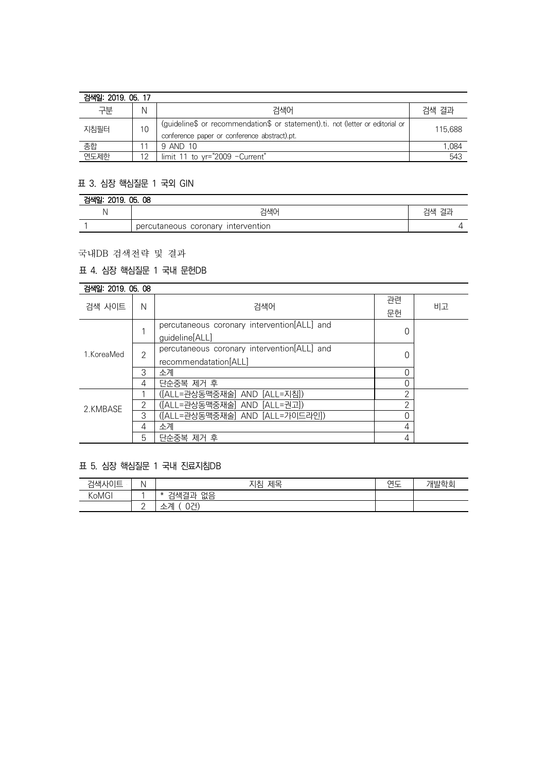| 검색일: 2019, 05, 17 |    |                                                                                                                                |         |
|-------------------|----|--------------------------------------------------------------------------------------------------------------------------------|---------|
| 구분                | N  | 검색어                                                                                                                            | 검색 결과   |
| 지침필터              | 10 | (guideline\$ or recommendation\$ or statement).ti. not (letter or editorial or<br>conference paper or conference abstract).pt. | 115.688 |
| 종합                |    | 9 AND 10                                                                                                                       | 1.084   |
| 연도제한              | 12 | limit 11 to yr="2009 - Current"                                                                                                | 543     |

## 표 3. 심장 핵심질문 1 국외 GIN

| 검색일: 2019. 05. 08 |                                    |       |  |  |
|-------------------|------------------------------------|-------|--|--|
|                   | 검색어                                | 검색 결과 |  |  |
|                   | percutaneous coronary intervention |       |  |  |

## 국내DB 검색전략 및 결과

# 표 4. 심장 핵심질문 1 국내 문헌DB

| 검색일: 2019, 05, 08 |  |  |  |
|-------------------|--|--|--|
|-------------------|--|--|--|

| 검색 사이트     | N              | 검색어                                                                  | 관련<br>문헌 | 비고 |
|------------|----------------|----------------------------------------------------------------------|----------|----|
| 1.KoreaMed |                | percutaneous coronary intervention[ALL] and<br>guideline[ALL]        |          |    |
|            | $\overline{2}$ | percutaneous coronary intervention[ALL] and<br>recommendatation[ALL] |          |    |
|            | 3              | 소계                                                                   |          |    |
|            | 4              | 단순중복 제거 후                                                            |          |    |
| 2.KMBASE   |                | ([ALL=관상동맥중재술] AND [ALL=지침])                                         | ◠        |    |
|            | 2              | ([ALL=관상동맥중재술] AND [ALL=권고])                                         | ⌒        |    |
|            | 3              | ([ALL=관상동맥중재술] AND [ALL=가이드라인])                                      |          |    |
|            | 4              | 소계                                                                   | 4        |    |
|            | 5              | 단순중복 제거 후                                                            | 4        |    |

# 표 5. 심장 핵심질문 1 국내 진료지침DB

| 검색사이트 |                 | 지침<br>제목                      | $\sim$<br>ີ<br>_ | 개발학회 |
|-------|-----------------|-------------------------------|------------------|------|
| KoMGI |                 | 없음<br>ו — ו<br>⇁<br>∗<br>4색 설 |                  |      |
|       | $\sqrt{2}$<br>- | 0건)<br>게<br>— 1               |                  |      |